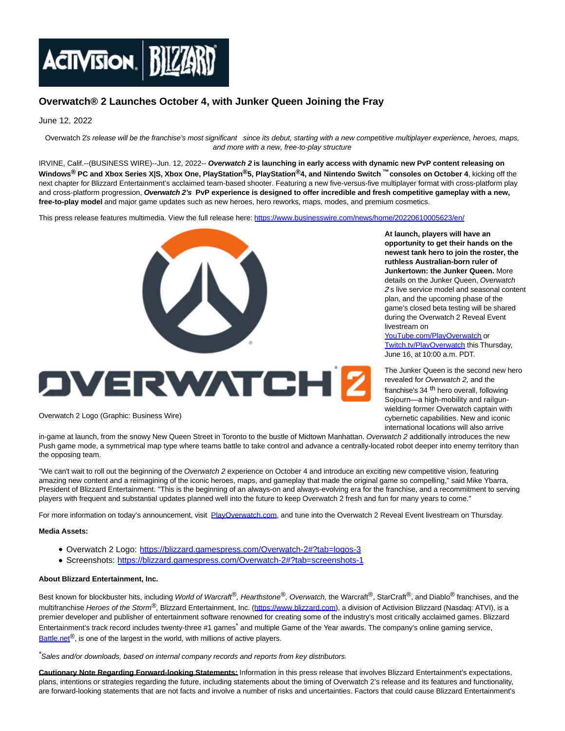

## **Overwatch® 2 Launches October 4, with Junker Queen Joining the Fray**

June 12, 2022

Overwatch 2's release will be the franchise's most significant since its debut, starting with a new competitive multiplayer experience, heroes, maps, and more with a new, free-to-play structure

IRVINE, Calif.--(BUSINESS WIRE)--Jun. 12, 2022-- **Overwatch 2 is launching in early access with dynamic new PvP content releasing on Windows® PC and Xbox Series X|S, Xbox One, PlayStation®5, PlayStation®4, and Nintendo Switch ™ consoles on October 4**, kicking off the next chapter for Blizzard Entertainment's acclaimed team-based shooter. Featuring a new five-versus-five multiplayer format with cross-platform play and cross-platform progression, **Overwatch 2's PvP experience is designed to offer incredible and fresh competitive gameplay with a new, free-to-play model** and major game updates such as new heroes, hero reworks, maps, modes, and premium cosmetics.

This press release features multimedia. View the full release here:<https://www.businesswire.com/news/home/20220610005623/en/>



## **DVERWATCH 2**

Overwatch 2 Logo (Graphic: Business Wire)

in-game at launch, from the snowy New Queen Street in Toronto to the bustle of Midtown Manhattan. Overwatch 2 additionally introduces the new Push game mode, a symmetrical map type where teams battle to take control and advance a centrally-located robot deeper into enemy territory than the opposing team.

"We can't wait to roll out the beginning of the Overwatch 2 experience on October 4 and introduce an exciting new competitive vision, featuring amazing new content and a reimagining of the iconic heroes, maps, and gameplay that made the original game so compelling," said Mike Ybarra, President of Blizzard Entertainment. "This is the beginning of an always-on and always-evolving era for the franchise, and a recommitment to serving players with frequent and substantial updates planned well into the future to keep Overwatch 2 fresh and fun for many years to come."

For more information on today's announcement, visit [PlayOverwatch.com,](https://cts.businesswire.com/ct/CT?id=smartlink&url=https%3A%2F%2Fplayoverwatch.com%2F&esheet=52746697&newsitemid=20220610005623&lan=en-US&anchor=PlayOverwatch.com&index=3&md5=cc17f57ff7e4cae9db8ad6f48585ec1a) and tune into the Overwatch 2 Reveal Event livestream on Thursday.

## **Media Assets:**

- Overwatch 2 Logo: [https://blizzard.gamespress.com/Overwatch-2#?tab=logos-3](https://cts.businesswire.com/ct/CT?id=smartlink&url=https%3A%2F%2Fblizzard.gamespress.com%2FOverwatch-2%23%3Ftab%3Dlogos-3&esheet=52746697&newsitemid=20220610005623&lan=en-US&anchor=https%3A%2F%2Fblizzard.gamespress.com%2FOverwatch-2%23%3Ftab%3Dlogos-3&index=4&md5=9bfbd27f663624cce24bf610c9befbbb)
- Screenshots: [https://blizzard.gamespress.com/Overwatch-2#?tab=screenshots-1](https://cts.businesswire.com/ct/CT?id=smartlink&url=https%3A%2F%2Fblizzard.gamespress.com%2FOverwatch-2%23%3Ftab%3Dscreenshots-1&esheet=52746697&newsitemid=20220610005623&lan=en-US&anchor=https%3A%2F%2Fblizzard.gamespress.com%2FOverwatch-2%23%3Ftab%3Dscreenshots-1&index=5&md5=c4785279ffd89d231a0077bb17e80b75)

## **About Blizzard Entertainment, Inc.**

Best known for blockbuster hits, including World of Warcraft®, Hearthstone®, Overwatch, the Warcraft®, StarCraft®, and Diablo<sup>®</sup> franchises, and the multifranchise Heroes of the Storm<sup>®</sup>, Blizzard Entertainment, Inc. [\(https://www.blizzard.com\),](https://cts.businesswire.com/ct/CT?id=smartlink&url=https%3A%2F%2Fwww.blizzard.com&esheet=52746697&newsitemid=20220610005623&lan=en-US&anchor=https%3A%2F%2Fwww.blizzard.com&index=6&md5=e3fd6a5d868e180b4bf4a0cb2f68209a) a division of Activision Blizzard (Nasdaq: ATVI), is a premier developer and publisher of entertainment software renowned for creating some of the industry's most critically acclaimed games. Blizzard Entertainment's track record includes twenty-three #1 games<sup>\*</sup> and multiple Game of the Year awards. The company's online gaming service, [Battle.net](http://battle.net/)<sup>®</sup>, is one of the largest in the world, with millions of active players.

\*Sales and/or downloads, based on internal company records and reports from key distributors.

**Cautionary Note Regarding Forward-looking Statements:** Information in this press release that involves Blizzard Entertainment's expectations, plans, intentions or strategies regarding the future, including statements about the timing of Overwatch 2's release and its features and functionality, are forward-looking statements that are not facts and involve a number of risks and uncertainties. Factors that could cause Blizzard Entertainment's

**At launch, players will have an opportunity to get their hands on the newest tank hero to join the roster, the ruthless Australian-born ruler of Junkertown: the Junker Queen.** More details on the Junker Queen, Overwatch 2's live service model and seasonal content plan, and the upcoming phase of the game's closed beta testing will be shared during the Overwatch 2 Reveal Event livestream on

[YouTube.com/PlayOverwatch o](https://cts.businesswire.com/ct/CT?id=smartlink&url=https%3A%2F%2Fwww.youtube.com%2FPlayOverwatch&esheet=52746697&newsitemid=20220610005623&lan=en-US&anchor=YouTube.com%2FPlayOverwatch&index=1&md5=c2a83776d788f1f66273d8c68cf150d0)r [Twitch.tv/PlayOverwatch t](https://cts.businesswire.com/ct/CT?id=smartlink&url=https%3A%2F%2Fwww.twitch.tv%2FPlayOverwatch&esheet=52746697&newsitemid=20220610005623&lan=en-US&anchor=Twitch.tv%2FPlayOverwatch&index=2&md5=66a903f10009c906616bbcf7fed7beb0)his Thursday, June 16, at 10:00 a.m. PDT.

The Junker Queen is the second new hero revealed for Overwatch 2, and the

franchise's 34<sup>th</sup> hero overall, following Sojourn—a high-mobility and railgunwielding former Overwatch captain with cybernetic capabilities. New and iconic international locations will also arrive